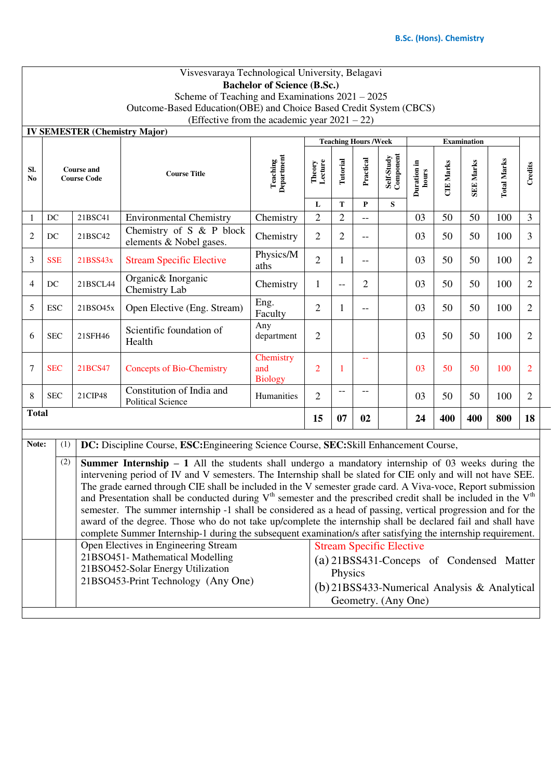|                                                                                           | Visvesvaraya Technological University, Belagavi                                                                                                                                                                                                                                                                                                                                                                                                                                                                                                                                                                                                                                                                                                                                                                                                                                                                                                                                                                                                                                                                                                  |                                         |                                                                                        |                                    |                   |                |           |                         |                      |                  |                  |                    |                |  |
|-------------------------------------------------------------------------------------------|--------------------------------------------------------------------------------------------------------------------------------------------------------------------------------------------------------------------------------------------------------------------------------------------------------------------------------------------------------------------------------------------------------------------------------------------------------------------------------------------------------------------------------------------------------------------------------------------------------------------------------------------------------------------------------------------------------------------------------------------------------------------------------------------------------------------------------------------------------------------------------------------------------------------------------------------------------------------------------------------------------------------------------------------------------------------------------------------------------------------------------------------------|-----------------------------------------|----------------------------------------------------------------------------------------|------------------------------------|-------------------|----------------|-----------|-------------------------|----------------------|------------------|------------------|--------------------|----------------|--|
| <b>Bachelor of Science (B.Sc.)</b>                                                        |                                                                                                                                                                                                                                                                                                                                                                                                                                                                                                                                                                                                                                                                                                                                                                                                                                                                                                                                                                                                                                                                                                                                                  |                                         |                                                                                        |                                    |                   |                |           |                         |                      |                  |                  |                    |                |  |
|                                                                                           | Scheme of Teaching and Examinations $2021 - 2025$                                                                                                                                                                                                                                                                                                                                                                                                                                                                                                                                                                                                                                                                                                                                                                                                                                                                                                                                                                                                                                                                                                |                                         |                                                                                        |                                    |                   |                |           |                         |                      |                  |                  |                    |                |  |
|                                                                                           | Outcome-Based Education(OBE) and Choice Based Credit System (CBCS)                                                                                                                                                                                                                                                                                                                                                                                                                                                                                                                                                                                                                                                                                                                                                                                                                                                                                                                                                                                                                                                                               |                                         |                                                                                        |                                    |                   |                |           |                         |                      |                  |                  |                    |                |  |
| (Effective from the academic year $2021 - 22$ )                                           |                                                                                                                                                                                                                                                                                                                                                                                                                                                                                                                                                                                                                                                                                                                                                                                                                                                                                                                                                                                                                                                                                                                                                  |                                         |                                                                                        |                                    |                   |                |           |                         |                      |                  |                  |                    |                |  |
| <b>IV SEMESTER (Chemistry Major)</b><br><b>Teaching Hours /Week</b><br><b>Examination</b> |                                                                                                                                                                                                                                                                                                                                                                                                                                                                                                                                                                                                                                                                                                                                                                                                                                                                                                                                                                                                                                                                                                                                                  |                                         |                                                                                        |                                    |                   |                |           |                         |                      |                  |                  |                    |                |  |
|                                                                                           |                                                                                                                                                                                                                                                                                                                                                                                                                                                                                                                                                                                                                                                                                                                                                                                                                                                                                                                                                                                                                                                                                                                                                  |                                         |                                                                                        |                                    |                   |                |           |                         |                      |                  |                  |                    |                |  |
| SI.<br>N <sub>0</sub>                                                                     |                                                                                                                                                                                                                                                                                                                                                                                                                                                                                                                                                                                                                                                                                                                                                                                                                                                                                                                                                                                                                                                                                                                                                  | <b>Course and</b><br><b>Course Code</b> | <b>Course Title</b>                                                                    | <b>Teaching</b><br>Department      | Theory<br>Lecture | Tutorial       | Practical | Self-Study<br>Component | Duration in<br>hours | <b>CIE Marks</b> | <b>SEE Marks</b> | <b>Total Marks</b> | Credits        |  |
|                                                                                           |                                                                                                                                                                                                                                                                                                                                                                                                                                                                                                                                                                                                                                                                                                                                                                                                                                                                                                                                                                                                                                                                                                                                                  |                                         |                                                                                        |                                    | L                 | T              | P         | S                       |                      |                  |                  |                    |                |  |
| 1                                                                                         | DC                                                                                                                                                                                                                                                                                                                                                                                                                                                                                                                                                                                                                                                                                                                                                                                                                                                                                                                                                                                                                                                                                                                                               | 21BSC41                                 | <b>Environmental Chemistry</b>                                                         | Chemistry                          | $\overline{2}$    | 2              | $-$       |                         | 03                   | 50               | 50               | 100                | 3              |  |
| 2                                                                                         | DC                                                                                                                                                                                                                                                                                                                                                                                                                                                                                                                                                                                                                                                                                                                                                                                                                                                                                                                                                                                                                                                                                                                                               | 21BSC42                                 | Chemistry of S & P block<br>elements & Nobel gases.                                    | Chemistry                          | $\overline{2}$    | $\overline{2}$ | --        |                         | 03                   | 50               | 50               | 100                | 3              |  |
| 3                                                                                         | <b>SSE</b>                                                                                                                                                                                                                                                                                                                                                                                                                                                                                                                                                                                                                                                                                                                                                                                                                                                                                                                                                                                                                                                                                                                                       | 21BSS43x                                | <b>Stream Specific Elective</b>                                                        | Physics/M<br>aths                  | $\overline{2}$    | $\mathbf{1}$   | --        |                         | 03                   | 50               | 50               | 100                | $\overline{2}$ |  |
| 4                                                                                         | DC                                                                                                                                                                                                                                                                                                                                                                                                                                                                                                                                                                                                                                                                                                                                                                                                                                                                                                                                                                                                                                                                                                                                               | 21BSCL44                                | Organic& Inorganic<br>Chemistry Lab                                                    | Chemistry                          | 1                 | $-$            | 2         |                         | 03                   | 50               | 50               | 100                | 2              |  |
| 5                                                                                         | <b>ESC</b>                                                                                                                                                                                                                                                                                                                                                                                                                                                                                                                                                                                                                                                                                                                                                                                                                                                                                                                                                                                                                                                                                                                                       | 21BSO45x                                | Open Elective (Eng. Stream)                                                            | Eng.<br>Faculty                    | $\overline{2}$    | $\mathbf{1}$   | --        |                         | 03                   | 50               | 50               | 100                | 2              |  |
| 6                                                                                         | <b>SEC</b>                                                                                                                                                                                                                                                                                                                                                                                                                                                                                                                                                                                                                                                                                                                                                                                                                                                                                                                                                                                                                                                                                                                                       | 21SFH46                                 | Scientific foundation of<br>Health                                                     | Any<br>department                  | $\overline{2}$    |                |           |                         | 03                   | 50               | 50               | 100                | $\overline{2}$ |  |
| 7                                                                                         | <b>SEC</b>                                                                                                                                                                                                                                                                                                                                                                                                                                                                                                                                                                                                                                                                                                                                                                                                                                                                                                                                                                                                                                                                                                                                       | 21BCS47                                 | <b>Concepts of Bio-Chemistry</b>                                                       | Chemistry<br>and<br><b>Biology</b> | $\overline{2}$    | 1              | $\equiv$  |                         | 03                   | 50               | 50               | 100                | $\overline{2}$ |  |
| 8                                                                                         | <b>SEC</b>                                                                                                                                                                                                                                                                                                                                                                                                                                                                                                                                                                                                                                                                                                                                                                                                                                                                                                                                                                                                                                                                                                                                       | 21CIP48                                 | Constitution of India and<br><b>Political Science</b>                                  | Humanities                         | $\overline{2}$    | --             |           |                         | 03                   | 50               | 50               | 100                | $\overline{2}$ |  |
| <b>Total</b>                                                                              |                                                                                                                                                                                                                                                                                                                                                                                                                                                                                                                                                                                                                                                                                                                                                                                                                                                                                                                                                                                                                                                                                                                                                  |                                         |                                                                                        |                                    |                   | 07             | 02        |                         | 24                   | 400              | 400              | 800                | 18             |  |
| Note:                                                                                     | (1)                                                                                                                                                                                                                                                                                                                                                                                                                                                                                                                                                                                                                                                                                                                                                                                                                                                                                                                                                                                                                                                                                                                                              |                                         | DC: Discipline Course, ESC: Engineering Science Course, SEC: Skill Enhancement Course, |                                    |                   |                |           |                         |                      |                  |                  |                    |                |  |
|                                                                                           | (2)<br><b>Summer Internship – 1</b> All the students shall undergo a mandatory internship of 03 weeks during the<br>intervening period of IV and V semesters. The Internship shall be slated for CIE only and will not have SEE.<br>The grade earned through CIE shall be included in the V semester grade card. A Viva-voce, Report submission<br>and Presentation shall be conducted during $Vth$ semester and the prescribed credit shall be included in the $Vth$<br>semester. The summer internship -1 shall be considered as a head of passing, vertical progression and for the<br>award of the degree. Those who do not take up/complete the internship shall be declared fail and shall have<br>complete Summer Internship-1 during the subsequent examination/s after satisfying the internship requirement.<br>Open Electives in Engineering Stream<br><b>Stream Specific Elective</b><br>21BSO451-Mathematical Modelling<br>(a) 21BSS431-Conceps of Condensed Matter<br>21BSO452-Solar Energy Utilization<br>Physics<br>21BSO453-Print Technology (Any One)<br>$(b)$ 21BSS433-Numerical Analysis & Analytical<br>Geometry. (Any One) |                                         |                                                                                        |                                    |                   |                |           |                         |                      |                  |                  |                    |                |  |
|                                                                                           |                                                                                                                                                                                                                                                                                                                                                                                                                                                                                                                                                                                                                                                                                                                                                                                                                                                                                                                                                                                                                                                                                                                                                  |                                         |                                                                                        |                                    |                   |                |           |                         |                      |                  |                  |                    |                |  |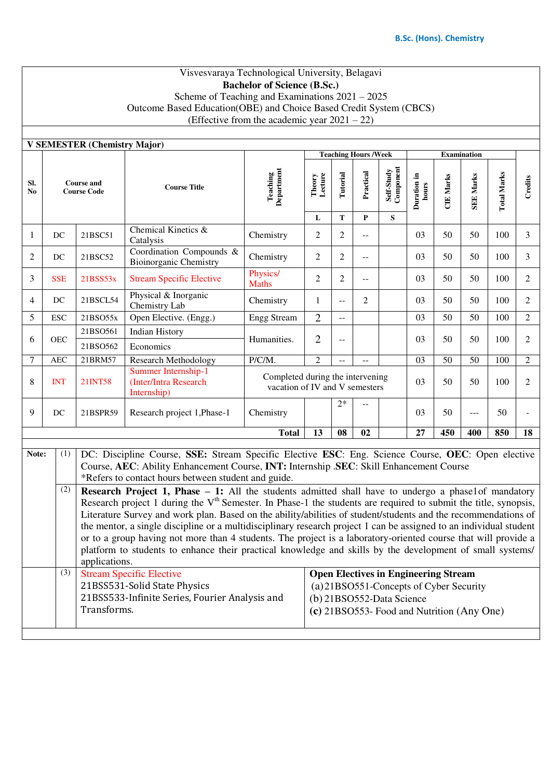## Visvesvaraya Technological University, Belagavi **Bachelor of Science (B.Sc.)** Scheme of Teaching and Examinations 2021 – 2025 Outcome Based Education(OBE) and Choice Based Credit System (CBCS) (Effective from the academic year  $2021 - 22$ )

|                | <b>V SEMESTER (Chemistry Major)</b>     |                                                                                                                                                                                                                                                                                                                                                                                                                                                                                                                                                                                                                                                                                                                                                                                                                                                            |                                                             |                               |                                                                    |                 |                                         |                                             |                      |                  |                  |                    |                |  |
|----------------|-----------------------------------------|------------------------------------------------------------------------------------------------------------------------------------------------------------------------------------------------------------------------------------------------------------------------------------------------------------------------------------------------------------------------------------------------------------------------------------------------------------------------------------------------------------------------------------------------------------------------------------------------------------------------------------------------------------------------------------------------------------------------------------------------------------------------------------------------------------------------------------------------------------|-------------------------------------------------------------|-------------------------------|--------------------------------------------------------------------|-----------------|-----------------------------------------|---------------------------------------------|----------------------|------------------|------------------|--------------------|----------------|--|
|                |                                         |                                                                                                                                                                                                                                                                                                                                                                                                                                                                                                                                                                                                                                                                                                                                                                                                                                                            |                                                             |                               |                                                                    |                 | <b>Teaching Hours /Week</b>             |                                             |                      |                  |                  |                    |                |  |
| SI.<br>No      | <b>Course and</b><br><b>Course Code</b> |                                                                                                                                                                                                                                                                                                                                                                                                                                                                                                                                                                                                                                                                                                                                                                                                                                                            | <b>Course Title</b>                                         | <b>Teaching</b><br>Department | Theory<br>Lecture<br>L                                             | Tutorial<br>T   | Practical<br>$\mathbf P$                | Self-Study<br>Component<br>S                | Duration in<br>hours | <b>CIE Marks</b> | <b>SEE Marks</b> | <b>Total Marks</b> | Credits        |  |
| 1              | DC                                      | 21BSC51                                                                                                                                                                                                                                                                                                                                                                                                                                                                                                                                                                                                                                                                                                                                                                                                                                                    | Chemical Kinetics &<br>Catalysis                            | Chemistry                     | $\overline{2}$                                                     | $\overline{2}$  |                                         |                                             | 03                   | 50               | 50               | 100                | 3              |  |
| 2              | DC                                      | 21BSC52                                                                                                                                                                                                                                                                                                                                                                                                                                                                                                                                                                                                                                                                                                                                                                                                                                                    | Coordination Compounds &<br><b>Bioinorganic Chemistry</b>   | Chemistry                     | $\overline{2}$                                                     | $\overline{2}$  | $\overline{a}$                          |                                             | 03                   | 50               | 50               | 100                | 3              |  |
| 3              | <b>SSE</b>                              | 21BSS53x                                                                                                                                                                                                                                                                                                                                                                                                                                                                                                                                                                                                                                                                                                                                                                                                                                                   | <b>Stream Specific Elective</b>                             | Physics/<br><b>Maths</b>      | $\overline{2}$                                                     | $\overline{2}$  | $\overline{a}$                          |                                             | 03                   | 50               | 50               | 100                | 2              |  |
| $\overline{4}$ | DC                                      | 21BSCL54                                                                                                                                                                                                                                                                                                                                                                                                                                                                                                                                                                                                                                                                                                                                                                                                                                                   | Physical & Inorganic<br>Chemistry Lab                       | Chemistry                     | $\mathbf{1}$                                                       | 44              | 2                                       |                                             | 03                   | 50               | 50               | 100                | 2              |  |
| 5              | <b>ESC</b>                              | 21BSO55x                                                                                                                                                                                                                                                                                                                                                                                                                                                                                                                                                                                                                                                                                                                                                                                                                                                   | Open Elective. (Engg.)                                      | <b>Engg Stream</b>            | $\overline{2}$                                                     | $\overline{a}$  |                                         |                                             | 03                   | 50               | 50               | 100                | $\overline{2}$ |  |
|                |                                         | 21BSO561                                                                                                                                                                                                                                                                                                                                                                                                                                                                                                                                                                                                                                                                                                                                                                                                                                                   | <b>Indian History</b>                                       |                               | $\overline{2}$                                                     |                 |                                         |                                             |                      |                  |                  |                    |                |  |
| 6              | OEC                                     | 21BSO562                                                                                                                                                                                                                                                                                                                                                                                                                                                                                                                                                                                                                                                                                                                                                                                                                                                   | Economics                                                   | Humanities.                   |                                                                    | $-$             |                                         |                                             | 03                   | 50               | 50               | 100                | $\overline{2}$ |  |
| $\overline{7}$ | <b>AEC</b>                              | 21BRM57                                                                                                                                                                                                                                                                                                                                                                                                                                                                                                                                                                                                                                                                                                                                                                                                                                                    | <b>Research Methodology</b>                                 | $P/C/M$ .                     | $\overline{2}$                                                     | $\overline{a}$  | $\equiv$                                |                                             | 03                   | $\overline{50}$  | 50               | 100                | $\overline{2}$ |  |
| 8              | <b>INT</b>                              | 21INT58                                                                                                                                                                                                                                                                                                                                                                                                                                                                                                                                                                                                                                                                                                                                                                                                                                                    | Summer Internship-1<br>(Inter/Intra Research<br>Internship) |                               | Completed during the intervening<br>vacation of IV and V semesters |                 |                                         |                                             | 03                   | 50               | 50               | 100                | $\overline{2}$ |  |
| 9              | DC                                      | 21BSPR59                                                                                                                                                                                                                                                                                                                                                                                                                                                                                                                                                                                                                                                                                                                                                                                                                                                   | Research project 1, Phase-1                                 | Chemistry                     | $2*$                                                               |                 |                                         |                                             | 03                   | 50               | $---$            | 50                 |                |  |
|                |                                         |                                                                                                                                                                                                                                                                                                                                                                                                                                                                                                                                                                                                                                                                                                                                                                                                                                                            |                                                             | <b>Total</b>                  | $\overline{13}$                                                    | $\overline{08}$ | $\overline{02}$                         |                                             | 27                   | 450              | 400              | 850                | 18             |  |
| Note:          | (1)<br>(2)                              | DC: Discipline Course, SSE: Stream Specific Elective ESC: Eng. Science Course, OEC: Open elective<br>Course, AEC: Ability Enhancement Course, INT: Internship .SEC: Skill Enhancement Course<br>*Refers to contact hours between student and guide.<br><b>Research Project 1, Phase – 1:</b> All the students admitted shall have to undergo a phase1of mandatory<br>Research project 1 during the V <sup>th</sup> Semester. In Phase-1 the students are required to submit the title, synopsis,<br>Literature Survey and work plan. Based on the ability/abilities of student/students and the recommendations of<br>the mentor, a single discipline or a multidisciplinary research project 1 can be assigned to an individual student<br>or to a group having not more than 4 students. The project is a laboratory-oriented course that will provide a |                                                             |                               |                                                                    |                 |                                         |                                             |                      |                  |                  |                    |                |  |
|                |                                         | platform to students to enhance their practical knowledge and skills by the development of small systems/<br>applications.                                                                                                                                                                                                                                                                                                                                                                                                                                                                                                                                                                                                                                                                                                                                 |                                                             |                               |                                                                    |                 |                                         |                                             |                      |                  |                  |                    |                |  |
|                | (3)                                     |                                                                                                                                                                                                                                                                                                                                                                                                                                                                                                                                                                                                                                                                                                                                                                                                                                                            | <b>Stream Specific Elective</b>                             |                               |                                                                    |                 |                                         | <b>Open Electives in Engineering Stream</b> |                      |                  |                  |                    |                |  |
|                |                                         | 21BSS531-Solid State Physics                                                                                                                                                                                                                                                                                                                                                                                                                                                                                                                                                                                                                                                                                                                                                                                                                               |                                                             |                               |                                                                    |                 | (a) 21BSO551-Concepts of Cyber Security |                                             |                      |                  |                  |                    |                |  |

21BSS533-Infinite Series, Fourier Analysis and Transforms. (b) 21BSO552-Data Science

**(c)** 21BSO553- Food and Nutrition (Any One)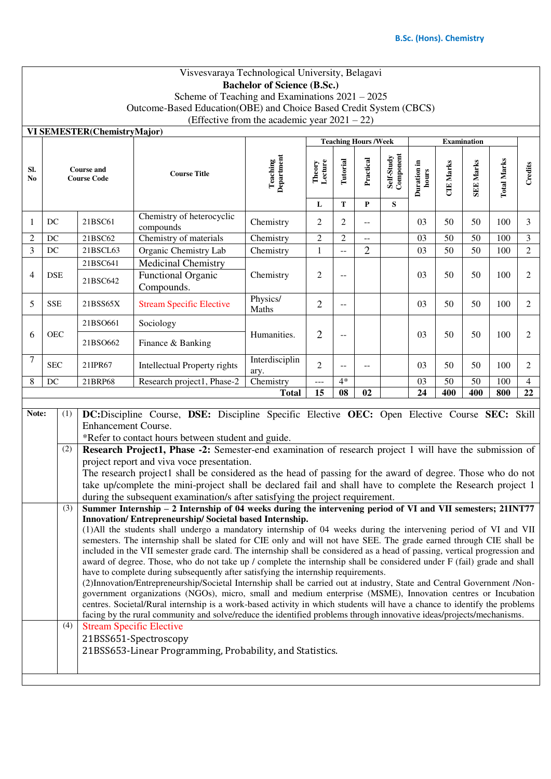## Visvesvaraya Technological University, Belagavi **Bachelor of Science (B.Sc.)** Scheme of Teaching and Examinations 2021 – 2025 Outcome-Based Education(OBE) and Choice Based Credit System (CBCS) (Effective from the academic year 2021 – 22) **VI SEMESTER(ChemistryMajor) Teaching Hours /Week Examination Component Department Self-Study Teaching hours Total Marks Total Marks Theory Lecture Practical Duration in CIE Marks SEE Marks SEE Marks Tutorial TIE Marks Credits Sl. Course and Course Code Course Title No L T P S**  1 DC 21BSC61 Chemistry of heterocyclic compounds Chemistry  $2 \mid 2 \mid - \mid 03 \mid 50 \mid 50 \mid 100 \mid 3$ 2 DC 21BSC62 Chemistry of materials Chemistry 2 2 - 03 50 50 100 3 3 DC 21BSCL63 Organic Chemistry Lab Chemistry 1 -- 2 03 50 50 50 100 2 21BSC641 | Medicinal Chemistry 4 DSE 21BSC642 Functional Organic Chemistry  $\begin{array}{|c|c|c|c|c|c|c|c|c|} \hline 2 & -1 & 03 & 50 & 50 & 100 & 2 \\ \hline \end{array}$ Compounds.  $5$  SSE 21BSS65X Stream Specific Elective Physics/ Maths  $\begin{vmatrix} 2 & - & \end{vmatrix}$  -  $\begin{vmatrix} 03 & 50 & 50 \end{vmatrix}$  100  $\begin{vmatrix} 2 & - \end{vmatrix}$ 21BSO661 Sociology 6 OEC Humanities.  $\begin{array}{|c|c|c|c|c|c|c|c|c|} \hline 2 & - & - & 03 & 50 & 50 & 100 & 2 \\ \hline \end{array}$ 21BSO662 Finance & Banking 7 SEC 21IPR67 Intellectual Property rights Interdisciplin 2 -- -- 03 50 50 100 2 ary. 8 DC 21BRP68 Research project1, Phase-2 Chemistry  $4^*$   $\vert$   $\vert$  03  $\vert$  50  $\vert$  50  $\vert$  100  $\vert$  4 **Total 15 08 02 24 400 400 800 22 Note:** (1) **DC:**Discipline Course, **DSE:** Discipline Specific Elective **OEC:** Open Elective Course **SEC:** Skill Enhancement Course. \*Refer to contact hours between student and guide. (2) **Research Project1, Phase -2:** Semester-end examination of research project 1 will have the submission of project report and viva voce presentation. The research project1 shall be considered as the head of passing for the award of degree. Those who do not take up/complete the mini-project shall be declared fail and shall have to complete the Research project 1 during the subsequent examination/s after satisfying the project requirement. (3) **Summer Internship – 2 Internship of 04 weeks during the intervening period of VI and VII semesters; 21INT77 Innovation/ Entrepreneurship/ Societal based Internship.**  (1)All the students shall undergo a mandatory internship of 04 weeks during the intervening period of VI and VII semesters. The internship shall be slated for CIE only and will not have SEE. The grade earned through CIE shall be included in the VII semester grade card. The internship shall be considered as a head of passing, vertical progression and award of degree. Those, who do not take up / complete the internship shall be considered under F (fail) grade and shall have to complete during subsequently after satisfying the internship requirements. (2)Innovation/Entrepreneurship/Societal Internship shall be carried out at industry, State and Central Government /Nongovernment organizations (NGOs), micro, small and medium enterprise (MSME), Innovation centres or Incubation centres. Societal/Rural internship is a work-based activity in which students will have a chance to identify the problems facing by the rural community and solve/reduce the identified problems through innovative ideas/projects/mechanisms. (4) Stream Specific Elective 21BSS651-Spectroscopy 21BSS653-Linear Programming, Probability, and Statistics.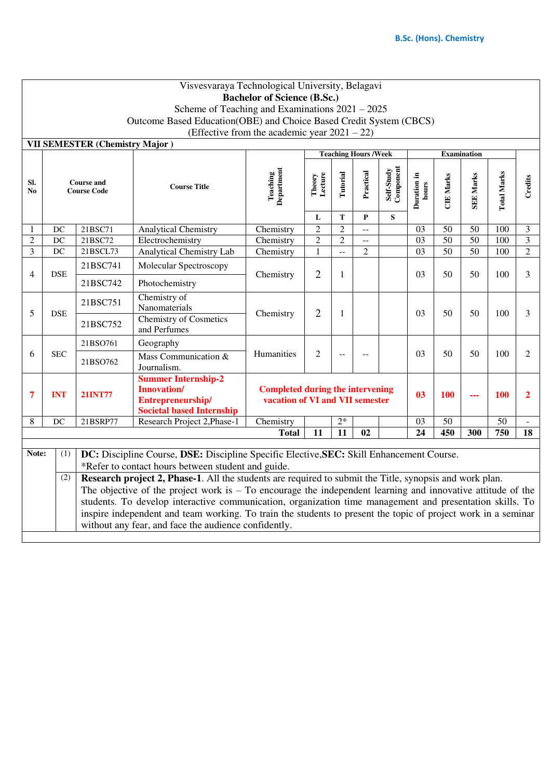| Visvesvaraya Technological University, Belagavi |                                                                                                                                                                                                                                 |                                         |                                                                                                                                                                       |                                                                         |                   |                |                          |                         |                      |                  |                  |                    |                |
|-------------------------------------------------|---------------------------------------------------------------------------------------------------------------------------------------------------------------------------------------------------------------------------------|-----------------------------------------|-----------------------------------------------------------------------------------------------------------------------------------------------------------------------|-------------------------------------------------------------------------|-------------------|----------------|--------------------------|-------------------------|----------------------|------------------|------------------|--------------------|----------------|
|                                                 | <b>Bachelor of Science (B.Sc.)</b>                                                                                                                                                                                              |                                         |                                                                                                                                                                       |                                                                         |                   |                |                          |                         |                      |                  |                  |                    |                |
|                                                 | Scheme of Teaching and Examinations $2021 - 2025$                                                                                                                                                                               |                                         |                                                                                                                                                                       |                                                                         |                   |                |                          |                         |                      |                  |                  |                    |                |
|                                                 | Outcome Based Education(OBE) and Choice Based Credit System (CBCS)                                                                                                                                                              |                                         |                                                                                                                                                                       |                                                                         |                   |                |                          |                         |                      |                  |                  |                    |                |
| (Effective from the academic year $2021 - 22$ ) |                                                                                                                                                                                                                                 |                                         |                                                                                                                                                                       |                                                                         |                   |                |                          |                         |                      |                  |                  |                    |                |
|                                                 | VII SEMESTER (Chemistry Major)<br><b>Teaching Hours /Week</b><br><b>Examination</b>                                                                                                                                             |                                         |                                                                                                                                                                       |                                                                         |                   |                |                          |                         |                      |                  |                  |                    |                |
|                                                 |                                                                                                                                                                                                                                 |                                         |                                                                                                                                                                       |                                                                         |                   |                |                          |                         |                      |                  |                  |                    |                |
| SI.<br>No                                       |                                                                                                                                                                                                                                 | <b>Course and</b><br><b>Course Code</b> | <b>Course Title</b>                                                                                                                                                   | Department<br>Teaching                                                  | Theory<br>Lecture | Tutorial       | Practical                | Self-Study<br>Component | Duration in<br>hours | <b>CIE Marks</b> | <b>SEE Marks</b> | <b>Total Marks</b> | Credits        |
|                                                 |                                                                                                                                                                                                                                 |                                         |                                                                                                                                                                       |                                                                         |                   |                |                          |                         |                      |                  |                  |                    |                |
|                                                 |                                                                                                                                                                                                                                 |                                         |                                                                                                                                                                       |                                                                         | L                 | T              | ${\bf P}$                | S                       |                      |                  |                  |                    |                |
|                                                 | DC                                                                                                                                                                                                                              | 21BSC71                                 | <b>Analytical Chemistry</b>                                                                                                                                           | Chemistry                                                               | $\overline{c}$    | $\overline{2}$ | $\overline{\phantom{a}}$ |                         | 03                   | 50               | 50               | 100                | 3              |
| $\overline{2}$                                  | $\operatorname{DC}$                                                                                                                                                                                                             | 21BSC72                                 | Electrochemistry                                                                                                                                                      | Chemistry                                                               | $\overline{2}$    | $\overline{2}$ | $-$                      |                         | 03                   | $\overline{50}$  | $\overline{50}$  | 100                | $\overline{3}$ |
| 3                                               | DC                                                                                                                                                                                                                              | 21BSCL73                                | Analytical Chemistry Lab                                                                                                                                              | Chemistry                                                               | $\mathbf{1}$      | $\sim$         | $\overline{2}$           |                         | $\overline{03}$      | $\overline{50}$  | $\overline{50}$  | 100                | $\overline{2}$ |
| 4                                               | <b>DSE</b>                                                                                                                                                                                                                      | 21BSC741                                | Molecular Spectroscopy                                                                                                                                                | Chemistry                                                               | $\overline{2}$    | 1              |                          |                         | 03                   | 50               | 50               | 100                | 3              |
|                                                 |                                                                                                                                                                                                                                 | 21BSC742                                | Photochemistry                                                                                                                                                        |                                                                         |                   |                |                          |                         |                      |                  |                  |                    |                |
| 5                                               | <b>DSE</b>                                                                                                                                                                                                                      | 21BSC751                                | Chemistry of<br>Nanomaterials                                                                                                                                         | Chemistry                                                               | $\overline{2}$    | 1              |                          |                         | 03                   | 50               | 50               | 100                | 3              |
|                                                 |                                                                                                                                                                                                                                 | 21BSC752                                | <b>Chemistry of Cosmetics</b><br>and Perfumes                                                                                                                         |                                                                         |                   |                |                          |                         |                      |                  |                  |                    |                |
|                                                 |                                                                                                                                                                                                                                 | 21BSO761                                | Geography                                                                                                                                                             |                                                                         |                   |                |                          |                         |                      |                  |                  |                    |                |
| 6                                               | <b>SEC</b>                                                                                                                                                                                                                      | 21BSO762                                | Mass Communication &<br>Journalism.                                                                                                                                   | Humanities                                                              | $\overline{c}$    | $-$            |                          |                         | 03                   | 50               | 50               | 100                | 2              |
|                                                 |                                                                                                                                                                                                                                 |                                         | <b>Summer Internship-2</b>                                                                                                                                            |                                                                         |                   |                |                          |                         |                      |                  |                  |                    |                |
| 7                                               | <b>INT</b>                                                                                                                                                                                                                      | <b>21INT77</b>                          | <b>Innovation/</b>                                                                                                                                                    | <b>Completed during the intervening</b><br>0 <sup>3</sup><br>100<br>--- |                   |                |                          |                         |                      |                  | <b>100</b>       | $\mathbf{2}$       |                |
|                                                 |                                                                                                                                                                                                                                 |                                         | Entrepreneurship/<br><b>Societal based Internship</b>                                                                                                                 | vacation of VI and VII semester                                         |                   |                |                          |                         |                      |                  |                  |                    |                |
| 8                                               | DC                                                                                                                                                                                                                              | 21BSRP77                                | Research Project 2, Phase-1                                                                                                                                           | Chemistry                                                               |                   | $2*$           |                          |                         | 03                   | $\overline{50}$  |                  | $\overline{50}$    |                |
|                                                 |                                                                                                                                                                                                                                 |                                         |                                                                                                                                                                       | <b>Total</b>                                                            | 11                | 11             | 02                       |                         | 24                   | 450              | 300              | 750                | 18             |
|                                                 |                                                                                                                                                                                                                                 |                                         |                                                                                                                                                                       |                                                                         |                   |                |                          |                         |                      |                  |                  |                    |                |
|                                                 | (1)<br>Note:<br>DC: Discipline Course, DSE: Discipline Specific Elective, SEC: Skill Enhancement Course.                                                                                                                        |                                         |                                                                                                                                                                       |                                                                         |                   |                |                          |                         |                      |                  |                  |                    |                |
|                                                 | *Refer to contact hours between student and guide.                                                                                                                                                                              |                                         |                                                                                                                                                                       |                                                                         |                   |                |                          |                         |                      |                  |                  |                    |                |
|                                                 | Research project 2, Phase-1. All the students are required to submit the Title, synopsis and work plan.<br>(2)<br>The objective of the project work is $-$ To encourage the independent learning and innovative attitude of the |                                         |                                                                                                                                                                       |                                                                         |                   |                |                          |                         |                      |                  |                  |                    |                |
|                                                 |                                                                                                                                                                                                                                 |                                         |                                                                                                                                                                       |                                                                         |                   |                |                          |                         |                      |                  |                  |                    |                |
|                                                 | students. To develop interactive communication, organization time management and presentation skills. To                                                                                                                        |                                         |                                                                                                                                                                       |                                                                         |                   |                |                          |                         |                      |                  |                  |                    |                |
|                                                 |                                                                                                                                                                                                                                 |                                         | inspire independent and team working. To train the students to present the topic of project work in a seminar<br>without any fear, and face the audience confidently. |                                                                         |                   |                |                          |                         |                      |                  |                  |                    |                |
|                                                 |                                                                                                                                                                                                                                 |                                         |                                                                                                                                                                       |                                                                         |                   |                |                          |                         |                      |                  |                  |                    |                |